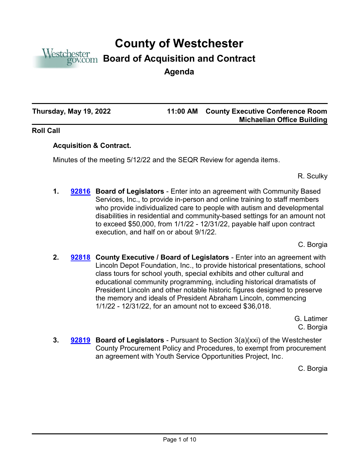

# **County of Westchester**

## **Board of Acquisition and Contract**

**Agenda**

**Thursday, May 19, 2022 11:00 AM**

### **County Executive Conference Room Michaelian Office Building**

#### **Roll Call**

#### **Acquisition & Contract.**

Minutes of the meeting 5/12/22 and the SEQR Review for agenda items.

R. Sculky

**1. [92816](http://westchestercountynyexec.legistar.com/gateway.aspx?m=l&id=/matter.aspx?key=3340)** Board of Legislators - Enter into an agreement with Community Based Services, Inc., to provide in-person and online training to staff members who provide individualized care to people with autism and developmental disabilities in residential and community-based settings for an amount not to exceed \$50,000, from 1/1/22 - 12/31/22, payable half upon contract execution, and half on or about 9/1/22.

C. Borgia

**2. [92818](http://westchestercountynyexec.legistar.com/gateway.aspx?m=l&id=/matter.aspx?key=3341)** County Executive / Board of Legislators - Enter into an agreement with Lincoln Depot Foundation, Inc., to provide historical presentations, school class tours for school youth, special exhibits and other cultural and educational community programming, including historical dramatists of President Lincoln and other notable historic figures designed to preserve the memory and ideals of President Abraham Lincoln, commencing 1/1/22 - 12/31/22, for an amount not to exceed \$36,018.

> G. Latimer C. Borgia

**3. [92819](http://westchestercountynyexec.legistar.com/gateway.aspx?m=l&id=/matter.aspx?key=3342)** Board of Legislators - Pursuant to Section 3(a)(xxi) of the Westchester County Procurement Policy and Procedures, to exempt from procurement an agreement with Youth Service Opportunities Project, Inc.

C. Borgia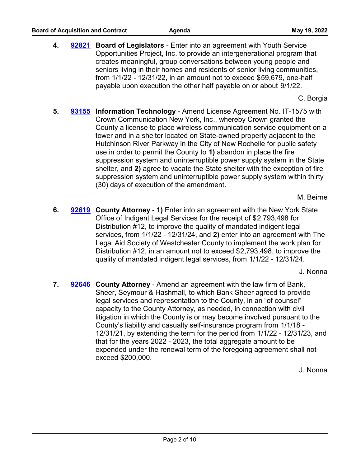**4. [92821](http://westchestercountynyexec.legistar.com/gateway.aspx?m=l&id=/matter.aspx?key=3343)** Board of Legislators - Enter into an agreement with Youth Service Opportunities Project, Inc. to provide an intergenerational program that creates meaningful, group conversations between young people and seniors living in their homes and residents of senior living communities, from 1/1/22 - 12/31/22, in an amount not to exceed \$59,679, one-half payable upon execution the other half payable on or about 9/1/22.

C. Borgia

**5. [93155](http://westchestercountynyexec.legistar.com/gateway.aspx?m=l&id=/matter.aspx?key=3344)** Information Technology - Amend License Agreement No. IT-1575 with Crown Communication New York, Inc., whereby Crown granted the County a license to place wireless communication service equipment on a tower and in a shelter located on State-owned property adjacent to the Hutchinson River Parkway in the City of New Rochelle for public safety use in order to permit the County to **1)** abandon in place the fire suppression system and uninterruptible power supply system in the State shelter, and **2)** agree to vacate the State shelter with the exception of fire suppression system and uninterruptible power supply system within thirty (30) days of execution of the amendment.

M. Beirne

**6. [92619](http://westchestercountynyexec.legistar.com/gateway.aspx?m=l&id=/matter.aspx?key=3345)** County Attorney - 1) Enter into an agreement with the New York State Office of Indigent Legal Services for the receipt of \$2,793,498 for Distribution #12, to improve the quality of mandated indigent legal services, from 1/1/22 - 12/31/24, and **2)** enter into an agreement with The Legal Aid Society of Westchester County to implement the work plan for Distribution #12, in an amount not to exceed \$2,793,498, to improve the quality of mandated indigent legal services, from 1/1/22 - 12/31/24.

J. Nonna

7. **[92646](http://westchestercountynyexec.legistar.com/gateway.aspx?m=l&id=/matter.aspx?key=3346)** County Attorney - Amend an agreement with the law firm of Bank, Sheer, Seymour & Hashmall, to which Bank Sheer agreed to provide legal services and representation to the County, in an "of counsel" capacity to the County Attorney, as needed, in connection with civil litigation in which the County is or may become involved pursuant to the County's liability and casualty self-insurance program from 1/1/18 - 12/31/21, by extending the term for the period from 1/1/22 - 12/31/23, and that for the years 2022 - 2023, the total aggregate amount to be expended under the renewal term of the foregoing agreement shall not exceed \$200,000.

J. Nonna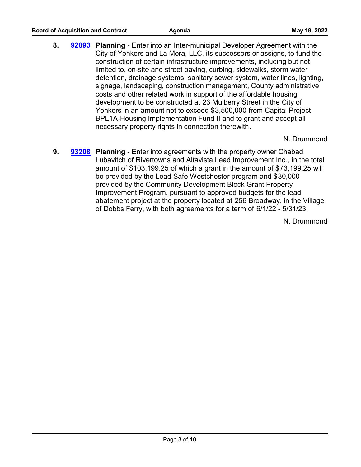**8. Planning** - Enter into an Inter-municipal Developer Agreement with the **[92893](http://westchestercountynyexec.legistar.com/gateway.aspx?m=l&id=/matter.aspx?key=3374)** City of Yonkers and La Mora, LLC, its successors or assigns, to fund the construction of certain infrastructure improvements, including but not limited to, on-site and street paving, curbing, sidewalks, storm water detention, drainage systems, sanitary sewer system, water lines, lighting, signage, landscaping, construction management, County administrative costs and other related work in support of the affordable housing development to be constructed at 23 Mulberry Street in the City of Yonkers in an amount not to exceed \$3,500,000 from Capital Project BPL1A-Housing Implementation Fund II and to grant and accept all necessary property rights in connection therewith.

N. Drummond

**9. Planning** - Enter into agreements with the property owner Chabad **[93208](http://westchestercountynyexec.legistar.com/gateway.aspx?m=l&id=/matter.aspx?key=3347)** Lubavitch of Rivertowns and Altavista Lead Improvement Inc., in the total amount of \$103,199.25 of which a grant in the amount of \$73,199.25 will be provided by the Lead Safe Westchester program and \$30,000 provided by the Community Development Block Grant Property Improvement Program, pursuant to approved budgets for the lead abatement project at the property located at 256 Broadway, in the Village of Dobbs Ferry, with both agreements for a term of 6/1/22 - 5/31/23.

N. Drummond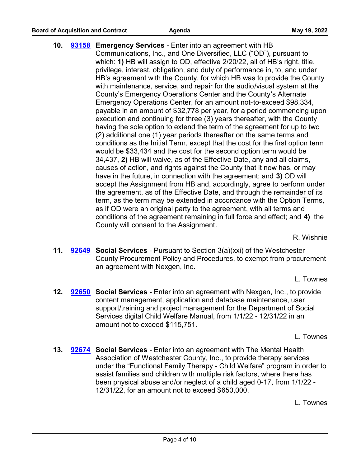**10. [93158](http://westchestercountynyexec.legistar.com/gateway.aspx?m=l&id=/matter.aspx?key=3348)** Emergency Services - Enter into an agreement with HB Communications, Inc., and One Diversified, LLC ("OD"), pursuant to which: **1)** HB will assign to OD, effective 2/20/22, all of HB's right, title, privilege, interest, obligation, and duty of performance in, to, and under HB's agreement with the County, for which HB was to provide the County with maintenance, service, and repair for the audio/visual system at the County's Emergency Operations Center and the County's Alternate Emergency Operations Center, for an amount not-to-exceed \$98,334, payable in an amount of \$32,778 per year, for a period commencing upon execution and continuing for three (3) years thereafter, with the County having the sole option to extend the term of the agreement for up to two (2) additional one (1) year periods thereafter on the same terms and conditions as the Initial Term, except that the cost for the first option term would be \$33,434 and the cost for the second option term would be 34,437, **2)** HB will waive, as of the Effective Date, any and all claims, causes of action, and rights against the County that it now has, or may have in the future, in connection with the agreement; and **3)** OD will accept the Assignment from HB and, accordingly, agree to perform under the agreement, as of the Effective Date, and through the remainder of its term, as the term may be extended in accordance with the Option Terms, as if OD were an original party to the agreement, with all terms and conditions of the agreement remaining in full force and effect; and **4)** the County will consent to the Assignment.

R. Wishnie

**11. [92649](http://westchestercountynyexec.legistar.com/gateway.aspx?m=l&id=/matter.aspx?key=3349)** Social Services - Pursuant to Section 3(a)(xxi) of the Westchester County Procurement Policy and Procedures, to exempt from procurement an agreement with Nexgen, Inc.

L. Townes

**12. [92650](http://westchestercountynyexec.legistar.com/gateway.aspx?m=l&id=/matter.aspx?key=3350)** Social Services - Enter into an agreement with Nexgen, Inc., to provide content management, application and database maintenance, user support/training and project management for the Department of Social Services digital Child Welfare Manual, from 1/1/22 - 12/31/22 in an amount not to exceed \$115,751.

L. Townes

**13. [92674](http://westchestercountynyexec.legistar.com/gateway.aspx?m=l&id=/matter.aspx?key=3351)** Social Services - Enter into an agreement with The Mental Health Association of Westchester County, Inc., to provide therapy services under the "Functional Family Therapy - Child Welfare" program in order to assist families and children with multiple risk factors, where there has been physical abuse and/or neglect of a child aged 0-17, from 1/1/22 - 12/31/22, for an amount not to exceed \$650,000.

L. Townes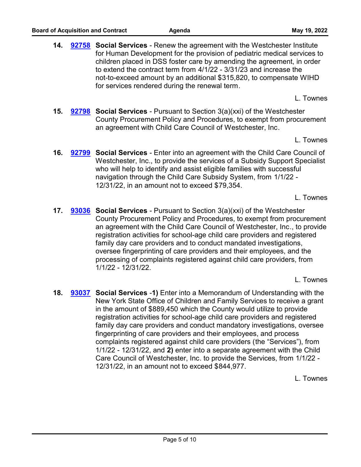**14. [92758](http://westchestercountynyexec.legistar.com/gateway.aspx?m=l&id=/matter.aspx?key=3352)** Social Services - Renew the agreement with the Westchester Institute for Human Development for the provision of pediatric medical services to children placed in DSS foster care by amending the agreement, in order to extend the contract term from 4/1/22 - 3/31/23 and increase the not-to-exceed amount by an additional \$315,820, to compensate WIHD for services rendered during the renewal term.

L. Townes

**15. [92798](http://westchestercountynyexec.legistar.com/gateway.aspx?m=l&id=/matter.aspx?key=3353)** Social Services - Pursuant to Section 3(a)(xxi) of the Westchester County Procurement Policy and Procedures, to exempt from procurement an agreement with Child Care Council of Westchester, Inc.

L. Townes

**16. [92799](http://westchestercountynyexec.legistar.com/gateway.aspx?m=l&id=/matter.aspx?key=3354)** Social Services - Enter into an agreement with the Child Care Council of Westchester, Inc., to provide the services of a Subsidy Support Specialist who will help to identify and assist eligible families with successful navigation through the Child Care Subsidy System, from 1/1/22 - 12/31/22, in an amount not to exceed \$79,354.

L. Townes

**17. [93036](http://westchestercountynyexec.legistar.com/gateway.aspx?m=l&id=/matter.aspx?key=3355)** Social Services - Pursuant to Section 3(a)(xxi) of the Westchester County Procurement Policy and Procedures, to exempt from procurement an agreement with the Child Care Council of Westchester, Inc., to provide registration activities for school-age child care providers and registered family day care providers and to conduct mandated investigations, oversee fingerprinting of care providers and their employees, and the processing of complaints registered against child care providers, from 1/1/22 - 12/31/22.

L. Townes

**18. [93037](http://westchestercountynyexec.legistar.com/gateway.aspx?m=l&id=/matter.aspx?key=3356)** Social Services -1) Enter into a Memorandum of Understanding with the New York State Office of Children and Family Services to receive a grant in the amount of \$889,450 which the County would utilize to provide registration activities for school-age child care providers and registered family day care providers and conduct mandatory investigations, oversee fingerprinting of care providers and their employees, and process complaints registered against child care providers (the "Services"), from 1/1/22 - 12/31/22, and **2)** enter into a separate agreement with the Child Care Council of Westchester, Inc. to provide the Services, from 1/1/22 - 12/31/22, in an amount not to exceed \$844,977.

L. Townes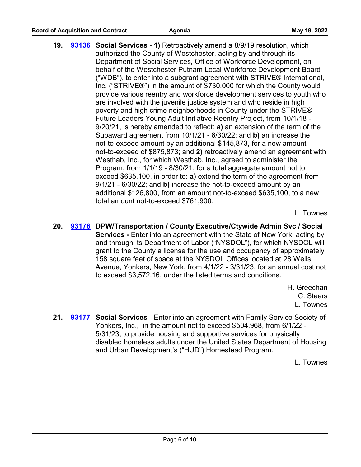**19. [93136](http://westchestercountynyexec.legistar.com/gateway.aspx?m=l&id=/matter.aspx?key=3357)** Social Services - 1) Retroactively amend a 8/9/19 resolution, which authorized the County of Westchester, acting by and through its Department of Social Services, Office of Workforce Development, on behalf of the Westchester Putnam Local Workforce Development Board ("WDB"), to enter into a subgrant agreement with STRIVE® International, Inc. ("STRIVE®") in the amount of \$730,000 for which the County would provide various reentry and workforce development services to youth who are involved with the juvenile justice system and who reside in high poverty and high crime neighborhoods in County under the STRIVE® Future Leaders Young Adult Initiative Reentry Project, from 10/1/18 - 9/20/21, is hereby amended to reflect: **a)** an extension of the term of the Subaward agreement from 10/1/21 - 6/30/22; and **b)** an increase the not-to-exceed amount by an additional \$145,873, for a new amount not-to-exceed of \$875,873; and **2)** retroactively amend an agreement with Westhab, Inc., for which Westhab, Inc., agreed to administer the Program, from 1/1/19 - 8/30/21, for a total aggregate amount not to exceed \$635,100, in order to: **a)** extend the term of the agreement from 9/1/21 - 6/30/22; and **b)** increase the not-to-exceed amount by an additional \$126,800, from an amount not-to-exceed \$635,100, to a new total amount not-to-exceed \$761,900.

L. Townes

20. [93176](http://westchestercountynyexec.legistar.com/gateway.aspx?m=l&id=/matter.aspx?key=3358) DPW/Transportation / County Executive/Ctywide Admin Svc / Social **Services -** Enter into an agreement with the State of New York, acting by and through its Department of Labor ("NYSDOL"), for which NYSDOL will grant to the County a license for the use and occupancy of approximately 158 square feet of space at the NYSDOL Offices located at 28 Wells Avenue, Yonkers, New York, from 4/1/22 - 3/31/23, for an annual cost not to exceed \$3,572.16, under the listed terms and conditions.

> H. Greechan C. Steers L. Townes

**21. [93177](http://westchestercountynyexec.legistar.com/gateway.aspx?m=l&id=/matter.aspx?key=3359)** Social Services - Enter into an agreement with Family Service Society of Yonkers, Inc., in the amount not to exceed \$504,968, from 6/1/22 - 5/31/23, to provide housing and supportive services for physically disabled homeless adults under the United States Department of Housing and Urban Development's ("HUD") Homestead Program.

L. Townes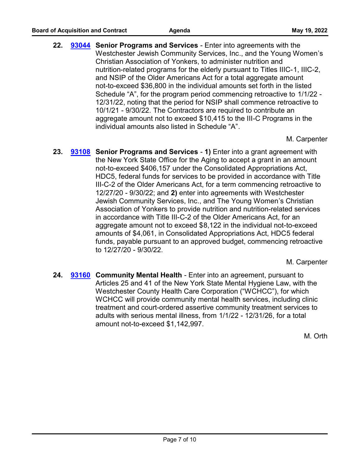22. **[93044](http://westchestercountynyexec.legistar.com/gateway.aspx?m=l&id=/matter.aspx?key=3360)** Senior Programs and Services - Enter into agreements with the Westchester Jewish Community Services, Inc., and the Young Women's Christian Association of Yonkers, to administer nutrition and nutrition-related programs for the elderly pursuant to Titles IIIC-1, IIIC-2, and NSIP of the Older Americans Act for a total aggregate amount not-to-exceed \$36,800 in the individual amounts set forth in the listed Schedule "A", for the program period commencing retroactive to 1/1/22 - 12/31/22, noting that the period for NSIP shall commence retroactive to 10/1/21 - 9/30/22. The Contractors are required to contribute an aggregate amount not to exceed \$10,415 to the III-C Programs in the individual amounts also listed in Schedule "A".

M. Carpenter

**23. [93108](http://westchestercountynyexec.legistar.com/gateway.aspx?m=l&id=/matter.aspx?key=3361)** Senior Programs and Services - 1) Enter into a grant agreement with the New York State Office for the Aging to accept a grant in an amount not-to-exceed \$406,157 under the Consolidated Appropriations Act, HDC5, federal funds for services to be provided in accordance with Title III-C-2 of the Older Americans Act, for a term commencing retroactive to 12/27/20 - 9/30/22; and **2)** enter into agreements with Westchester Jewish Community Services, Inc., and The Young Women's Christian Association of Yonkers to provide nutrition and nutrition-related services in accordance with Title III-C-2 of the Older Americans Act, for an aggregate amount not to exceed \$8,122 in the individual not-to-exceed amounts of \$4,061, in Consolidated Appropriations Act, HDC5 federal funds, payable pursuant to an approved budget, commencing retroactive to 12/27/20 - 9/30/22.

M. Carpenter

**24. [93160](http://westchestercountynyexec.legistar.com/gateway.aspx?m=l&id=/matter.aspx?key=3362)** Community Mental Health - Enter into an agreement, pursuant to Articles 25 and 41 of the New York State Mental Hygiene Law, with the Westchester County Health Care Corporation ("WCHCC"), for which WCHCC will provide community mental health services, including clinic treatment and court-ordered assertive community treatment services to adults with serious mental illness, from 1/1/22 - 12/31/26, for a total amount not-to-exceed \$1,142,997.

M. Orth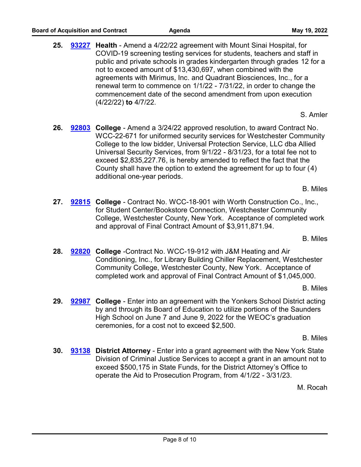**25.** [93227](http://westchestercountynyexec.legistar.com/gateway.aspx?m=l&id=/matter.aspx?key=3363) Health - Amend a 4/22/22 agreement with Mount Sinai Hospital, for COVID-19 screening testing services for students, teachers and staff in public and private schools in grades kindergarten through grades 12 for a not to exceed amount of \$13,430,697, when combined with the agreements with Mirimus, Inc. and Quadrant Biosciences, Inc., for a renewal term to commence on 1/1/22 - 7/31/22, in order to change the commencement date of the second amendment from upon execution (4/22/22) **to** 4/7/22.

S. Amler

26. **[92803](http://westchestercountynyexec.legistar.com/gateway.aspx?m=l&id=/matter.aspx?key=3364)** College - Amend a 3/24/22 approved resolution, to award Contract No. WCC-22-671 for uniformed security services for Westchester Community College to the low bidder, Universal Protection Service, LLC dba Allied Universal Security Services, from 9/1/22 - 8/31/23, for a total fee not to exceed \$2,835,227.76, is hereby amended to reflect the fact that the County shall have the option to extend the agreement for up to four (4) additional one-year periods.

B. Miles

27. [92815](http://westchestercountynyexec.legistar.com/gateway.aspx?m=l&id=/matter.aspx?key=3365) College - Contract No. WCC-18-901 with Worth Construction Co., Inc., for Student Center/Bookstore Connection, Westchester Community College, Westchester County, New York. Acceptance of completed work and approval of Final Contract Amount of \$3,911,871.94.

B. Miles

**28. [92820](http://westchestercountynyexec.legistar.com/gateway.aspx?m=l&id=/matter.aspx?key=3366)** College -Contract No. WCC-19-912 with J&M Heating and Air Conditioning, Inc., for Library Building Chiller Replacement, Westchester Community College, Westchester County, New York. Acceptance of completed work and approval of Final Contract Amount of \$1,045,000.

B. Miles

**29. [92987](http://westchestercountynyexec.legistar.com/gateway.aspx?m=l&id=/matter.aspx?key=3367)** College - Enter into an agreement with the Yonkers School District acting by and through its Board of Education to utilize portions of the Saunders High School on June 7 and June 9, 2022 for the WEOC's graduation ceremonies, for a cost not to exceed \$2,500.

B. Miles

**30. [93138](http://westchestercountynyexec.legistar.com/gateway.aspx?m=l&id=/matter.aspx?key=3368)** District Attorney - Enter into a grant agreement with the New York State Division of Criminal Justice Services to accept a grant in an amount not to exceed \$500,175 in State Funds, for the District Attorney's Office to operate the Aid to Prosecution Program, from 4/1/22 - 3/31/23.

M. Rocah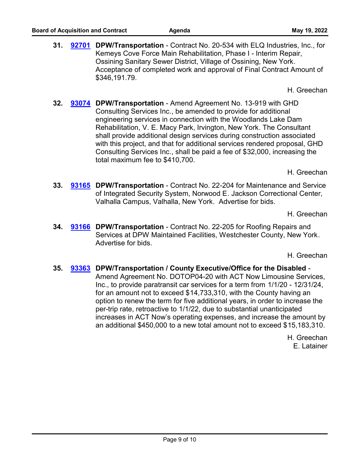H. Greechan

**32. [93074](http://westchestercountynyexec.legistar.com/gateway.aspx?m=l&id=/matter.aspx?key=3370)** DPW/Transportation - Amend Agreement No. 13-919 with GHD Consulting Services Inc., be amended to provide for additional engineering services in connection with the Woodlands Lake Dam Rehabilitation, V. E. Macy Park, Irvington, New York. The Consultant shall provide additional design services during construction associated with this project, and that for additional services rendered proposal, GHD Consulting Services Inc., shall be paid a fee of \$32,000, increasing the total maximum fee to \$410,700.

H. Greechan

**33. [93165](http://westchestercountynyexec.legistar.com/gateway.aspx?m=l&id=/matter.aspx?key=3371)** DPW/Transportation - Contract No. 22-204 for Maintenance and Service of Integrated Security System, Norwood E. Jackson Correctional Center, Valhalla Campus, Valhalla, New York. Advertise for bids.

H. Greechan

**34. [93166](http://westchestercountynyexec.legistar.com/gateway.aspx?m=l&id=/matter.aspx?key=3372)** DPW/Transportation - Contract No. 22-205 for Roofing Repairs and Services at DPW Maintained Facilities, Westchester County, New York. Advertise for bids.

H. Greechan

**35. DPW/Transportation / County Executive/Office for the Disabled** - **[93363](http://westchestercountynyexec.legistar.com/gateway.aspx?m=l&id=/matter.aspx?key=3375)** Amend Agreement No. DOTOP04-20 with ACT Now Limousine Services, Inc., to provide paratransit car services for a term from 1/1/20 - 12/31/24, for an amount not to exceed \$14,733,310, with the County having an option to renew the term for five additional years, in order to increase the per-trip rate, retroactive to 1/1/22, due to substantial unanticipated increases in ACT Now's operating expenses, and increase the amount by an additional \$450,000 to a new total amount not to exceed \$15,183,310.

> H. Greechan E. Latainer